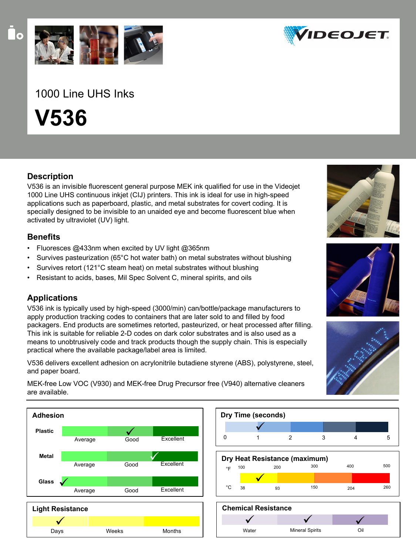

# 1000 Line UHS Inks

**V536**

### **Description**

V536 is an invisible fluorescent general purpose MEK ink qualified for use in the Videojet 1000 Line UHS continuous inkjet (CIJ) printers. This ink is ideal for use in high-speed applications such as paperboard, plastic, and metal substrates for covert coding. It is specially designed to be invisible to an unaided eye and become fluorescent blue when activated by ultraviolet (UV) light.

### **Benefits**

- Fluoresces @433nm when excited by UV light @365nm
- Survives pasteurization (65°C hot water bath) on metal substrates without blushing
- Survives retort (121°C steam heat) on metal substrates without blushing
- Resistant to acids, bases, Mil Spec Solvent C, mineral spirits, and oils

## **Applications**

V536 ink is typically used by high-speed (3000/min) can/bottle/package manufacturers to apply production tracking codes to containers that are later sold to and filled by food packagers. End products are sometimes retorted, pasteurized, or heat processed after filling. This ink is suitable for reliable 2-D codes on dark color substrates and is also used as a means to unobtrusively code and track products though the supply chain. This is especially practical where the available package/label area is limited.

V536 delivers excellent adhesion on acrylonitrile butadiene styrene (ABS), polystyrene, steel, and paper board.

MEK-free Low VOC (V930) and MEK-free Drug Precursor free (V940) alternative cleaners are available.